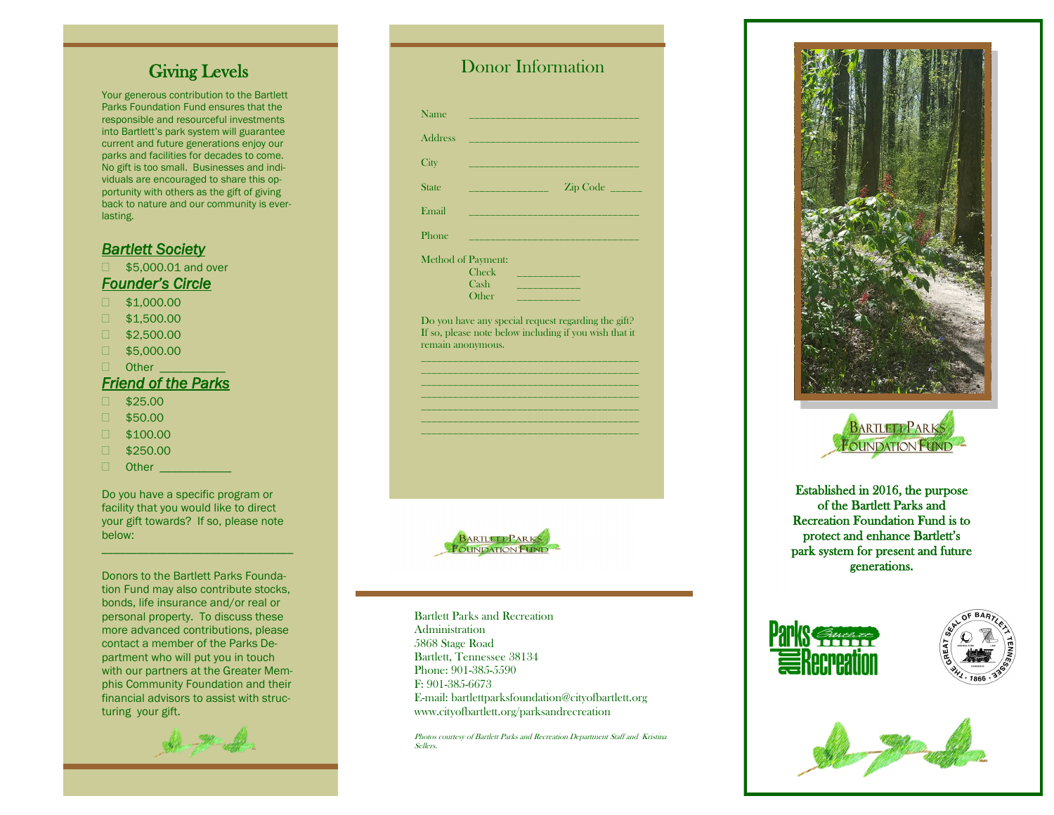### Giving Levels

Your generous contribution to the Bartlett Parks Foundation Fund ensures that the responsible and resourceful investments into Bartlett's park system will guarantee current and future generations enjoy our parks and facilities for decades to come. No gift is too small. Businesses and individuals are encouraged to share this opportunity with others as the gift of giving back to nature and our community is everlasting.

#### *Bartlett Society*

□ \$5,000.01 and over *Founder's Circle* 

- $\Box$  \$1,000.00
- $\Box$  \$1,500.00
- $\Box$  \$2,500.00
- $\Box$  \$5,000.00
- $\Box$  Other

### *Friend of the Parks*

- $1$ \$25.00
- $\Box$  \$50.00
- \$100.00
- $1$ \$250.00
- $\Box$  Other  $\Box$

Do you have a specific program or facility that you would like to direct your gift towards? If so, please note below:

\_\_\_\_\_\_\_\_\_\_\_\_\_\_\_\_\_\_\_\_\_\_\_\_\_\_\_\_\_\_\_\_

Donors to the Bartlett Parks Foundation Fund may also contribute stocks, bonds, life insurance and/or real or personal property. To discuss these more advanced contributions, please contact a member of the Parks Department who will put you in touch with our partners at the Greater Memphis Community Foundation and their financial advisors to assist with structuring your gift.

# Donor Information

| <b>Address</b>    |                                                                                                               |
|-------------------|---------------------------------------------------------------------------------------------------------------|
| City              |                                                                                                               |
| State             | the control of the control of the                                                                             |
| Email             |                                                                                                               |
| Phone             | <u> 1989 - Johann Barn, mars eta bainar eta indonez erre</u>                                                  |
|                   | <b>Method of Payment:</b>                                                                                     |
|                   | <b>Check</b><br>the control of the control of the                                                             |
|                   | Cash                                                                                                          |
|                   | Other<br><b>Service Service</b>                                                                               |
|                   | Do you have any special request regarding the gift?<br>If so, please note below including if you wish that it |
| remain anonymous. |                                                                                                               |

\_\_\_\_\_\_\_\_\_\_\_\_\_\_\_\_\_\_\_\_\_\_\_\_\_\_\_\_\_\_\_\_\_\_\_\_\_\_\_\_\_ \_\_\_\_\_\_\_\_\_\_\_\_\_\_\_\_\_\_\_\_\_\_\_\_\_\_\_\_\_\_\_\_\_\_\_\_\_\_\_\_\_ \_\_\_\_\_\_\_\_\_\_\_\_\_\_\_\_\_\_\_\_\_\_\_\_\_\_\_\_\_\_\_\_\_\_\_\_\_\_\_\_\_ \_\_\_\_\_\_\_\_\_\_\_\_\_\_\_\_\_\_\_\_\_\_\_\_\_\_\_\_\_\_\_\_\_\_\_\_\_\_\_\_\_



Bartlett Parks and Recreation Administration 5868 Stage Road Bartlett, Tennessee 38134 Phone: 901-385-5590 F: 901-385-6673 E -mail: bartlettparksfoundation@cityofbartlett.org www.cityofbartlett.org/parksandrecreation

Photos courtesy of Bartlett Parks and Recreation Department Staff and Kristina Sellers.





Established in 2016, the purpose of the Bartlett Parks and Recreation Foundation Fund is to protect and enhance Bartlett's park system for present and future generations.